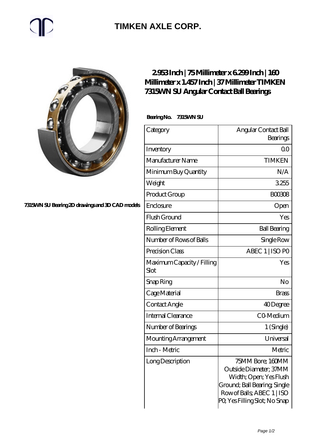# $\mathbb{C}$

### **[TIMKEN AXLE CORP.](https://rapidsurfing.net)**



#### **[7315WN SU Bearing 2D drawings and 3D CAD models](https://rapidsurfing.net/pic-218930.html)**

### **[2.953 Inch | 75 Millimeter x 6.299 Inch | 160](https://rapidsurfing.net/bb-218930-timken-7315wn-su-angular-contact-ball-bearings.html) [Millimeter x 1.457 Inch | 37 Millimeter TIMKEN](https://rapidsurfing.net/bb-218930-timken-7315wn-su-angular-contact-ball-bearings.html) [7315WN SU Angular Contact Ball Bearings](https://rapidsurfing.net/bb-218930-timken-7315wn-su-angular-contact-ball-bearings.html)**

 **Bearing No. 7315WN SU**

| Category                           | Angular Contact Ball<br>Bearings                                                                                                                                   |
|------------------------------------|--------------------------------------------------------------------------------------------------------------------------------------------------------------------|
| Inventory                          | 0 <sup>0</sup>                                                                                                                                                     |
| Manufacturer Name                  | <b>TIMKEN</b>                                                                                                                                                      |
| Minimum Buy Quantity               | N/A                                                                                                                                                                |
| Weight                             | 3255                                                                                                                                                               |
| Product Group                      | <b>BOO308</b>                                                                                                                                                      |
| Enclosure                          | Open                                                                                                                                                               |
| Flush Ground                       | Yes                                                                                                                                                                |
| Rolling Element                    | <b>Ball Bearing</b>                                                                                                                                                |
| Number of Rows of Balls            | Single Row                                                                                                                                                         |
| Precision Class                    | ABEC 1   ISO PO                                                                                                                                                    |
| Maximum Capacity / Filling<br>Slot | Yes                                                                                                                                                                |
| Snap Ring                          | No                                                                                                                                                                 |
| Cage Material                      | <b>Brass</b>                                                                                                                                                       |
| Contact Angle                      | 40Degree                                                                                                                                                           |
| Internal Clearance                 | CO-Medium                                                                                                                                                          |
| Number of Bearings                 | 1 (Single)                                                                                                                                                         |
| Mounting Arrangement               | Universal                                                                                                                                                          |
| Inch - Metric                      | Metric                                                                                                                                                             |
| Long Description                   | 75MM Bore; 160MM<br>Outside Diameter; 37MM<br>Width; Open; Yes Flush<br>Ground; Ball Bearing; Single<br>Row of Balls, ABEC 1   ISO<br>PQ Yes Filling Slot; No Snap |